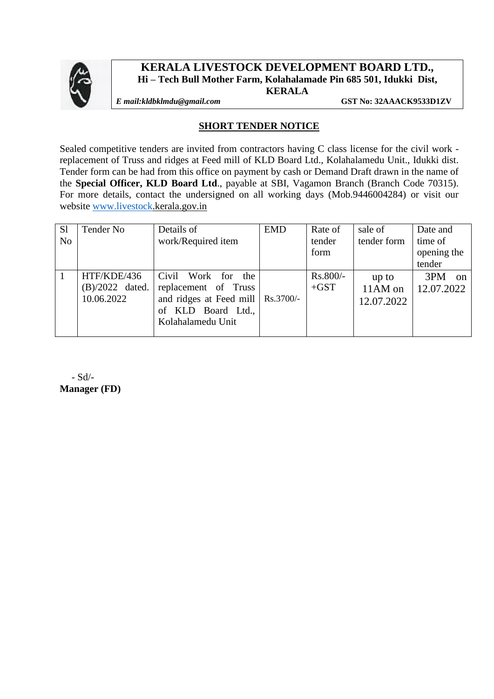

### **KERALA LIVESTOCK DEVELOPMENT BOARD LTD., Hi – Tech Bull Mother Farm, Kolahalamade Pin 685 501, Idukki Dist, KERALA**

*E mail:kldbklmdu@gmail.com* **GST No: 32AAACK9533D1ZV**

### **SHORT TENDER NOTICE**

Sealed competitive tenders are invited from contractors having C class license for the civil work replacement of Truss and ridges at Feed mill of KLD Board Ltd., Kolahalamedu Unit., Idukki dist. Tender form can be had from this office on payment by cash or Demand Draft drawn in the name of the **Special Officer, KLD Board Ltd**., payable at SBI, Vagamon Branch (Branch Code 70315). For more details, contact the undersigned on all working days (Mob.9446004284) or visit our website [www.livestock.](http://www.livestock/)kerala.gov.in

| S <sub>1</sub> | Tender No         | Details of                          | <b>EMD</b> | Rate of  | sale of     | Date and        |
|----------------|-------------------|-------------------------------------|------------|----------|-------------|-----------------|
| N <sub>o</sub> |                   | work/Required item                  |            | tender   | tender form | time of         |
|                |                   |                                     |            | form     |             | opening the     |
|                |                   |                                     |            |          |             | tender          |
|                | HTF/KDE/436       | Civil<br>Work for<br>the            |            | Rs.800/- | up to       | 3PM<br>$\alpha$ |
|                | $(B)/2022$ dated. | replacement of Truss                |            | $+GST$   | 11AM on     | 12.07.2022      |
|                | 10.06.2022        | and ridges at Feed mill   Rs.3700/- |            |          | 12.07.2022  |                 |
|                |                   | of KLD Board Ltd.,                  |            |          |             |                 |
|                |                   | Kolahalamedu Unit                   |            |          |             |                 |
|                |                   |                                     |            |          |             |                 |

 - Sd/- **Manager (FD)**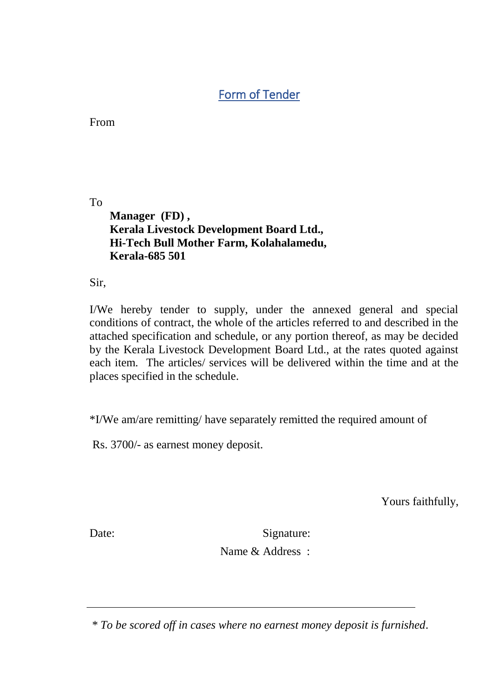# Form of Tender

From

To

 **Manager (FD) , Kerala Livestock Development Board Ltd., Hi-Tech Bull Mother Farm, Kolahalamedu, Kerala-685 501**

Sir,

I/We hereby tender to supply, under the annexed general and special conditions of contract, the whole of the articles referred to and described in the attached specification and schedule, or any portion thereof, as may be decided by the Kerala Livestock Development Board Ltd., at the rates quoted against each item. The articles/ services will be delivered within the time and at the places specified in the schedule.

\*I/We am/are remitting/ have separately remitted the required amount of

Rs. 3700/- as earnest money deposit.

Yours faithfully,

Date: Signature:

Name & Address :

 *\* To be scored off in cases where no earnest money deposit is furnished.*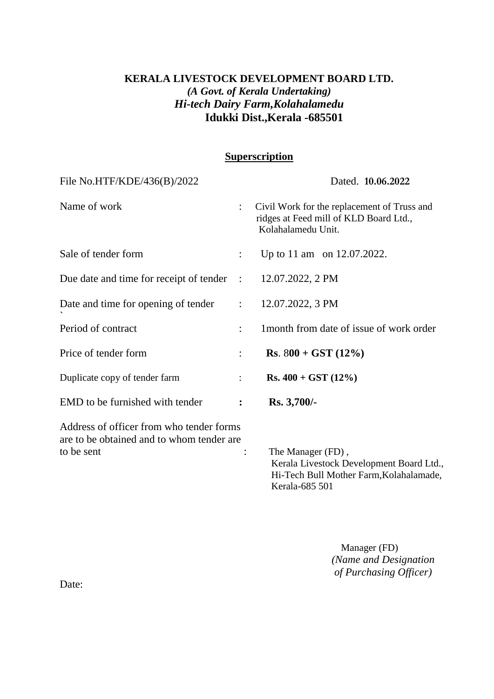## **KERALA LIVESTOCK DEVELOPMENT BOARD LTD.** *(A Govt. of Kerala Undertaking) Hi-tech Dairy Farm,Kolahalamedu* **Idukki Dist.,Kerala -685501**

### **Superscription**

| File No.HTF/KDE/436(B)/2022                                                           |                      | Dated. 10.06.2022                                                                                                          |
|---------------------------------------------------------------------------------------|----------------------|----------------------------------------------------------------------------------------------------------------------------|
| Name of work                                                                          | $\ddot{\phantom{a}}$ | Civil Work for the replacement of Truss and<br>ridges at Feed mill of KLD Board Ltd.,<br>Kolahalamedu Unit.                |
| Sale of tender form                                                                   | $\ddot{\phantom{a}}$ | Up to 11 am on 12.07.2022.                                                                                                 |
| Due date and time for receipt of tender : 12.07.2022, 2 PM                            |                      |                                                                                                                            |
| Date and time for opening of tender                                                   | $\mathbb{R}^n$       | 12.07.2022, 3 PM                                                                                                           |
| Period of contract                                                                    | $\ddot{\cdot}$       | 1 month from date of issue of work order                                                                                   |
| Price of tender form                                                                  | $\ddot{\phantom{a}}$ | <b>Rs.</b> $800 + GST(12\%)$                                                                                               |
| Duplicate copy of tender farm                                                         |                      | $Rs. 400 + GST (12%)$                                                                                                      |
| EMD to be furnished with tender                                                       | $\ddot{\cdot}$       | Rs. 3,700/-                                                                                                                |
| Address of officer from who tender forms<br>are to be obtained and to whom tender are |                      |                                                                                                                            |
| to be sent                                                                            |                      | The Manager (FD),<br>Kerala Livestock Development Board Ltd.,<br>Hi-Tech Bull Mother Farm, Kolahalamade,<br>Kerala-685 501 |

 Manager (FD)  *(Name and Designation of Purchasing Officer)*

Date: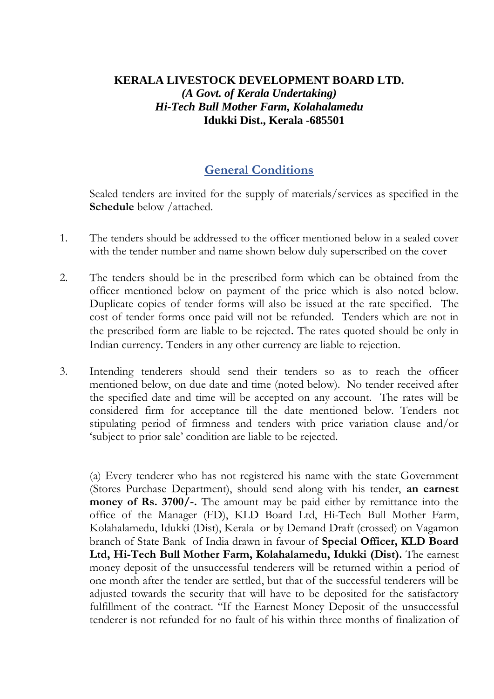## **KERALA LIVESTOCK DEVELOPMENT BOARD LTD.** *(A Govt. of Kerala Undertaking) Hi-Tech Bull Mother Farm, Kolahalamedu* **Idukki Dist., Kerala -685501**

## **General Conditions**

Sealed tenders are invited for the supply of materials/services as specified in the **Schedule** below /attached.

- 1. The tenders should be addressed to the officer mentioned below in a sealed cover with the tender number and name shown below duly superscribed on the cover
- 2. The tenders should be in the prescribed form which can be obtained from the officer mentioned below on payment of the price which is also noted below. Duplicate copies of tender forms will also be issued at the rate specified. The cost of tender forms once paid will not be refunded. Tenders which are not in the prescribed form are liable to be rejected. The rates quoted should be only in Indian currency. Tenders in any other currency are liable to rejection.
- 3. Intending tenderers should send their tenders so as to reach the officer mentioned below, on due date and time (noted below). No tender received after the specified date and time will be accepted on any account. The rates will be considered firm for acceptance till the date mentioned below. Tenders not stipulating period of firmness and tenders with price variation clause and/or 'subject to prior sale' condition are liable to be rejected.

(a) Every tenderer who has not registered his name with the state Government (Stores Purchase Department), should send along with his tender, **an earnest money of Rs. 3700/-.** The amount may be paid either by remittance into the office of the Manager (FD), KLD Board Ltd, Hi-Tech Bull Mother Farm, Kolahalamedu, Idukki (Dist), Kerala or by Demand Draft (crossed) on Vagamon branch of State Bank of India drawn in favour of **Special Officer, KLD Board Ltd, Hi-Tech Bull Mother Farm, Kolahalamedu, Idukki (Dist).** The earnest money deposit of the unsuccessful tenderers will be returned within a period of one month after the tender are settled, but that of the successful tenderers will be adjusted towards the security that will have to be deposited for the satisfactory fulfillment of the contract. "If the Earnest Money Deposit of the unsuccessful tenderer is not refunded for no fault of his within three months of finalization of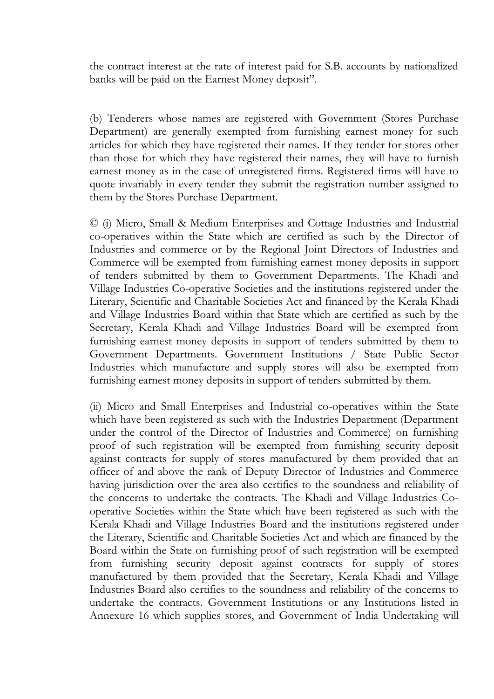the contract interest at the rate of interest paid for S.B. accounts by nationalized banks will be paid on the Earnest Money deposit".

(b) Tenderers whose names are registered with Government (Stores Purchase Department) are generally exempted from furnishing earnest money for such articles for which they have registered their names. If they tender for stores other than those for which they have registered their names, they will have to furnish earnest money as in the case of unregistered firms. Registered firms will have to quote invariably in every tender they submit the registration number assigned to them by the Stores Purchase Department.

© (i) Micro, Small & Medium Enterprises and Cottage Industries and Industrial co-operatives within the State which are certified as such by the Director of Industries and commerce or by the Regional Joint Directors of Industries and Commerce will be exempted from furnishing earnest money deposits in support of tenders submitted by them to Government Departments. The Khadi and Village Industries Co-operative Societies and the institutions registered under the Literary, Scientific and Charitable Societies Act and financed by the Kerala Khadi and Village Industries Board within that State which are certified as such by the Secretary, Kerala Khadi and Village Industries Board will be exempted from furnishing earnest money deposits in support of tenders submitted by them to Government Departments. Government Institutions / State Public Sector Industries which manufacture and supply stores will also be exempted from furnishing earnest money deposits in support of tenders submitted by them.

(ii) Micro and Small Enterprises and Industrial co-operatives within the State which have been registered as such with the Industries Department (Department under the control of the Director of Industries and Commerce) on furnishing proof of such registration will be exempted from furnishing security deposit against contracts for supply of stores manufactured by them provided that an officer of and above the rank of Deputy Director of Industries and Commerce having jurisdiction over the area also certifies to the soundness and reliability of the concerns to undertake the contracts. The Khadi and Village Industries Cooperative Societies within the State which have been registered as such with the Kerala Khadi and Village Industries Board and the institutions registered under the Literary, Scientific and Charitable Societies Act and which are financed by the Board within the State on furnishing proof of such registration will be exempted from furnishing security deposit against contracts for supply of stores manufactured by them provided that the Secretary, Kerala Khadi and Village Industries Board also certifies to the soundness and reliability of the concerns to undertake the contracts. Government Institutions or any Institutions listed in Annexure 16 which supplies stores, and Government of India Undertaking will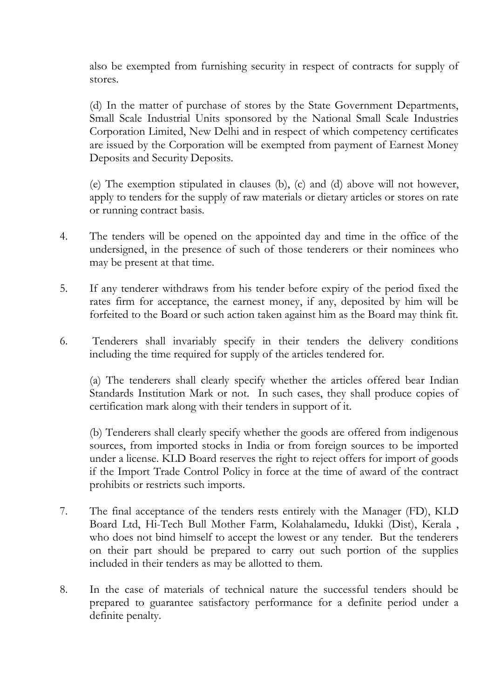also be exempted from furnishing security in respect of contracts for supply of stores.

(d) In the matter of purchase of stores by the State Government Departments, Small Scale Industrial Units sponsored by the National Small Scale Industries Corporation Limited, New Delhi and in respect of which competency certificates are issued by the Corporation will be exempted from payment of Earnest Money Deposits and Security Deposits.

(e) The exemption stipulated in clauses (b), (c) and (d) above will not however, apply to tenders for the supply of raw materials or dietary articles or stores on rate or running contract basis.

- 4. The tenders will be opened on the appointed day and time in the office of the undersigned, in the presence of such of those tenderers or their nominees who may be present at that time.
- 5. If any tenderer withdraws from his tender before expiry of the period fixed the rates firm for acceptance, the earnest money, if any, deposited by him will be forfeited to the Board or such action taken against him as the Board may think fit.
- 6. Tenderers shall invariably specify in their tenders the delivery conditions including the time required for supply of the articles tendered for.

(a) The tenderers shall clearly specify whether the articles offered bear Indian Standards Institution Mark or not. In such cases, they shall produce copies of certification mark along with their tenders in support of it.

(b) Tenderers shall clearly specify whether the goods are offered from indigenous sources, from imported stocks in India or from foreign sources to be imported under a license. KLD Board reserves the right to reject offers for import of goods if the Import Trade Control Policy in force at the time of award of the contract prohibits or restricts such imports.

- 7. The final acceptance of the tenders rests entirely with the Manager (FD), KLD Board Ltd, Hi-Tech Bull Mother Farm, Kolahalamedu, Idukki (Dist), Kerala , who does not bind himself to accept the lowest or any tender. But the tenderers on their part should be prepared to carry out such portion of the supplies included in their tenders as may be allotted to them.
- 8. In the case of materials of technical nature the successful tenders should be prepared to guarantee satisfactory performance for a definite period under a definite penalty.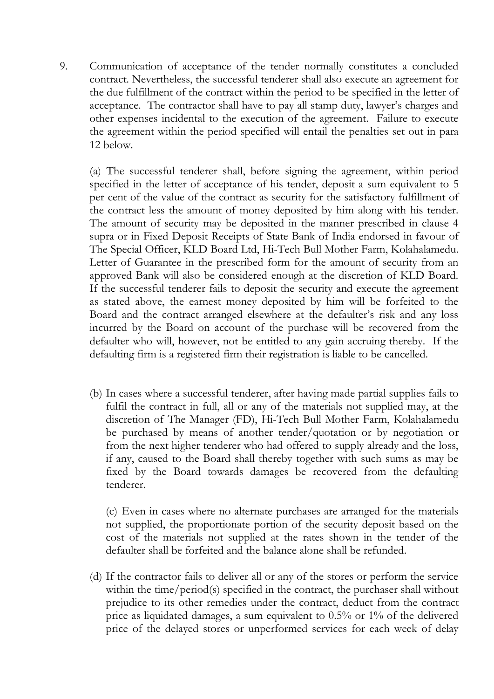9. Communication of acceptance of the tender normally constitutes a concluded contract. Nevertheless, the successful tenderer shall also execute an agreement for the due fulfillment of the contract within the period to be specified in the letter of acceptance. The contractor shall have to pay all stamp duty, lawyer's charges and other expenses incidental to the execution of the agreement. Failure to execute the agreement within the period specified will entail the penalties set out in para 12 below.

(a) The successful tenderer shall, before signing the agreement, within period specified in the letter of acceptance of his tender, deposit a sum equivalent to 5 per cent of the value of the contract as security for the satisfactory fulfillment of the contract less the amount of money deposited by him along with his tender. The amount of security may be deposited in the manner prescribed in clause 4 supra or in Fixed Deposit Receipts of State Bank of India endorsed in favour of The Special Officer, KLD Board Ltd, Hi-Tech Bull Mother Farm, Kolahalamedu. Letter of Guarantee in the prescribed form for the amount of security from an approved Bank will also be considered enough at the discretion of KLD Board. If the successful tenderer fails to deposit the security and execute the agreement as stated above, the earnest money deposited by him will be forfeited to the Board and the contract arranged elsewhere at the defaulter's risk and any loss incurred by the Board on account of the purchase will be recovered from the defaulter who will, however, not be entitled to any gain accruing thereby. If the defaulting firm is a registered firm their registration is liable to be cancelled.

(b) In cases where a successful tenderer, after having made partial supplies fails to fulfil the contract in full, all or any of the materials not supplied may, at the discretion of The Manager (FD), Hi-Tech Bull Mother Farm, Kolahalamedu be purchased by means of another tender/quotation or by negotiation or from the next higher tenderer who had offered to supply already and the loss, if any, caused to the Board shall thereby together with such sums as may be fixed by the Board towards damages be recovered from the defaulting tenderer.

(c) Even in cases where no alternate purchases are arranged for the materials not supplied, the proportionate portion of the security deposit based on the cost of the materials not supplied at the rates shown in the tender of the defaulter shall be forfeited and the balance alone shall be refunded.

(d) If the contractor fails to deliver all or any of the stores or perform the service within the time/period(s) specified in the contract, the purchaser shall without prejudice to its other remedies under the contract, deduct from the contract price as liquidated damages, a sum equivalent to 0.5% or 1% of the delivered price of the delayed stores or unperformed services for each week of delay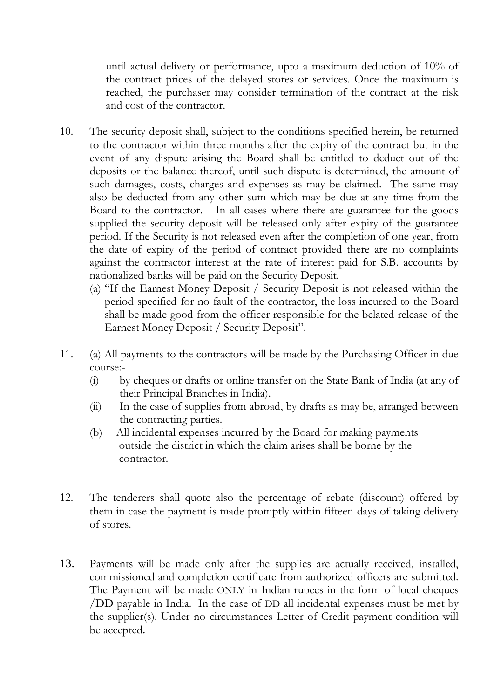until actual delivery or performance, upto a maximum deduction of 10% of the contract prices of the delayed stores or services. Once the maximum is reached, the purchaser may consider termination of the contract at the risk and cost of the contractor.

- 10. The security deposit shall, subject to the conditions specified herein, be returned to the contractor within three months after the expiry of the contract but in the event of any dispute arising the Board shall be entitled to deduct out of the deposits or the balance thereof, until such dispute is determined, the amount of such damages, costs, charges and expenses as may be claimed. The same may also be deducted from any other sum which may be due at any time from the Board to the contractor. In all cases where there are guarantee for the goods supplied the security deposit will be released only after expiry of the guarantee period. If the Security is not released even after the completion of one year, from the date of expiry of the period of contract provided there are no complaints against the contractor interest at the rate of interest paid for S.B. accounts by nationalized banks will be paid on the Security Deposit.
	- (a) "If the Earnest Money Deposit / Security Deposit is not released within the period specified for no fault of the contractor, the loss incurred to the Board shall be made good from the officer responsible for the belated release of the Earnest Money Deposit / Security Deposit".
- 11. (a) All payments to the contractors will be made by the Purchasing Officer in due course:-
	- (i) by cheques or drafts or online transfer on the State Bank of India (at any of their Principal Branches in India).
	- (ii) In the case of supplies from abroad, by drafts as may be, arranged between the contracting parties.
	- (b) All incidental expenses incurred by the Board for making payments outside the district in which the claim arises shall be borne by the contractor.
- 12. The tenderers shall quote also the percentage of rebate (discount) offered by them in case the payment is made promptly within fifteen days of taking delivery of stores.
- 13. Payments will be made only after the supplies are actually received, installed, commissioned and completion certificate from authorized officers are submitted. The Payment will be made ONLY in Indian rupees in the form of local cheques /DD payable in India. In the case of DD all incidental expenses must be met by the supplier(s). Under no circumstances Letter of Credit payment condition will be accepted.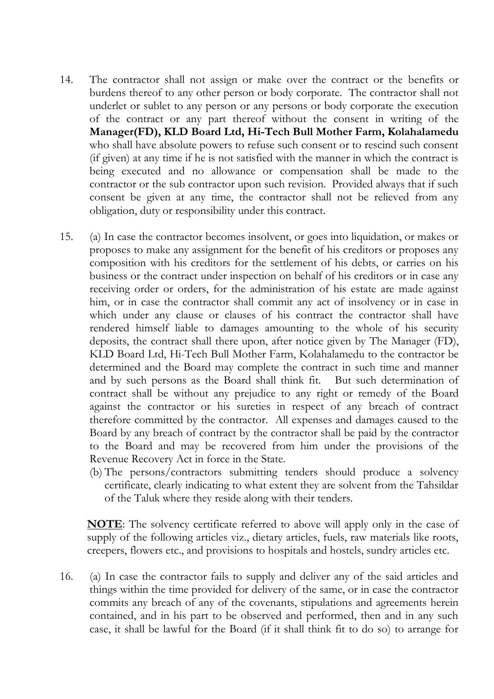- 14. The contractor shall not assign or make over the contract or the benefits or burdens thereof to any other person or body corporate. The contractor shall not underlet or sublet to any person or any persons or body corporate the execution of the contract or any part thereof without the consent in writing of the **Manager(FD), KLD Board Ltd, Hi-Tech Bull Mother Farm, Kolahalamedu** who shall have absolute powers to refuse such consent or to rescind such consent (if given) at any time if he is not satisfied with the manner in which the contract is being executed and no allowance or compensation shall be made to the contractor or the sub contractor upon such revision. Provided always that if such consent be given at any time, the contractor shall not be relieved from any obligation, duty or responsibility under this contract.
- 15. (a) In case the contractor becomes insolvent, or goes into liquidation, or makes or proposes to make any assignment for the benefit of his creditors or proposes any composition with his creditors for the settlement of his debts, or carries on his business or the contract under inspection on behalf of his creditors or in case any receiving order or orders, for the administration of his estate are made against him, or in case the contractor shall commit any act of insolvency or in case in which under any clause or clauses of his contract the contractor shall have rendered himself liable to damages amounting to the whole of his security deposits, the contract shall there upon, after notice given by The Manager (FD), KLD Board Ltd, Hi-Tech Bull Mother Farm, Kolahalamedu to the contractor be determined and the Board may complete the contract in such time and manner and by such persons as the Board shall think fit. But such determination of contract shall be without any prejudice to any right or remedy of the Board against the contractor or his sureties in respect of any breach of contract therefore committed by the contractor. All expenses and damages caused to the Board by any breach of contract by the contractor shall be paid by the contractor to the Board and may be recovered from him under the provisions of the Revenue Recovery Act in force in the State.
	- (b) The persons/contractors submitting tenders should produce a solvency certificate, clearly indicating to what extent they are solvent from the Tahsildar of the Taluk where they reside along with their tenders.

**NOTE**: The solvency certificate referred to above will apply only in the case of supply of the following articles viz., dietary articles, fuels, raw materials like roots, creepers, flowers etc., and provisions to hospitals and hostels, sundry articles etc.

16. (a) In case the contractor fails to supply and deliver any of the said articles and things within the time provided for delivery of the same, or in case the contractor commits any breach of any of the covenants, stipulations and agreements herein contained, and in his part to be observed and performed, then and in any such case, it shall be lawful for the Board (if it shall think fit to do so) to arrange for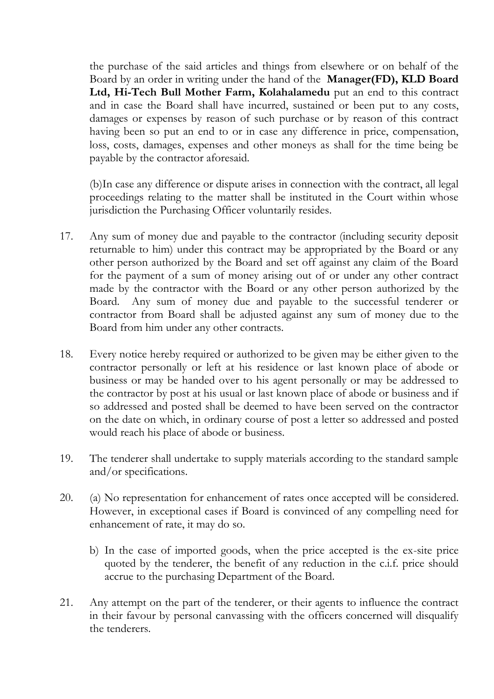the purchase of the said articles and things from elsewhere or on behalf of the Board by an order in writing under the hand of the **Manager(FD), KLD Board Ltd, Hi-Tech Bull Mother Farm, Kolahalamedu** put an end to this contract and in case the Board shall have incurred, sustained or been put to any costs, damages or expenses by reason of such purchase or by reason of this contract having been so put an end to or in case any difference in price, compensation, loss, costs, damages, expenses and other moneys as shall for the time being be payable by the contractor aforesaid.

(b)In case any difference or dispute arises in connection with the contract, all legal proceedings relating to the matter shall be instituted in the Court within whose jurisdiction the Purchasing Officer voluntarily resides.

- 17. Any sum of money due and payable to the contractor (including security deposit returnable to him) under this contract may be appropriated by the Board or any other person authorized by the Board and set off against any claim of the Board for the payment of a sum of money arising out of or under any other contract made by the contractor with the Board or any other person authorized by the Board. Any sum of money due and payable to the successful tenderer or contractor from Board shall be adjusted against any sum of money due to the Board from him under any other contracts.
- 18. Every notice hereby required or authorized to be given may be either given to the contractor personally or left at his residence or last known place of abode or business or may be handed over to his agent personally or may be addressed to the contractor by post at his usual or last known place of abode or business and if so addressed and posted shall be deemed to have been served on the contractor on the date on which, in ordinary course of post a letter so addressed and posted would reach his place of abode or business.
- 19. The tenderer shall undertake to supply materials according to the standard sample and/or specifications.
- 20. (a) No representation for enhancement of rates once accepted will be considered. However, in exceptional cases if Board is convinced of any compelling need for enhancement of rate, it may do so.
	- b) In the case of imported goods, when the price accepted is the ex-site price quoted by the tenderer, the benefit of any reduction in the c.i.f. price should accrue to the purchasing Department of the Board.
- 21. Any attempt on the part of the tenderer, or their agents to influence the contract in their favour by personal canvassing with the officers concerned will disqualify the tenderers.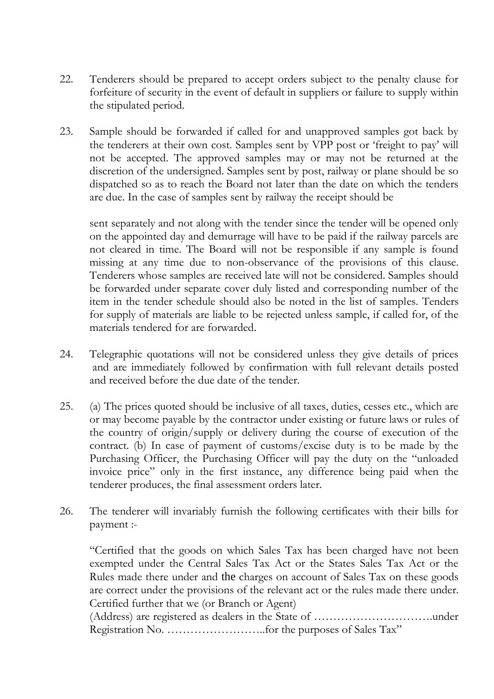- 22. Tenderers should be prepared to accept orders subject to the penalty clause for forfeiture of security in the event of default in suppliers or failure to supply within the stipulated period.
- 23. Sample should be forwarded if called for and unapproved samples got back by the tenderers at their own cost. Samples sent by VPP post or 'freight to pay' will not be accepted. The approved samples may or may not be returned at the discretion of the undersigned. Samples sent by post, railway or plane should be so dispatched so as to reach the Board not later than the date on which the tenders are due. In the case of samples sent by railway the receipt should be

sent separately and not along with the tender since the tender will be opened only on the appointed day and demurrage will have to be paid if the railway parcels are not cleared in time. The Board will not be responsible if any sample is found missing at any time due to non-observance of the provisions of this clause. Tenderers whose samples are received late will not be considered. Samples should be forwarded under separate cover duly listed and corresponding number of the item in the tender schedule should also be noted in the list of samples. Tenders for supply of materials are liable to be rejected unless sample, if called for, of the materials tendered for are forwarded.

- 24. Telegraphic quotations will not be considered unless they give details of prices and are immediately followed by confirmation with full relevant details posted and received before the due date of the tender.
- 25. (a) The prices quoted should be inclusive of all taxes, duties, cesses etc., which are or may become payable by the contractor under existing or future laws or rules of the country of origin/supply or delivery during the course of execution of the contract. (b) In case of payment of customs/excise duty is to be made by the Purchasing Officer, the Purchasing Officer will pay the duty on the "unloaded invoice price" only in the first instance, any difference being paid when the tenderer produces, the final assessment orders later.
- 26. The tenderer will invariably furnish the following certificates with their bills for payment :-

"Certified that the goods on which Sales Tax has been charged have not been exempted under the Central Sales Tax Act or the States Sales Tax Act or the Rules made there under and the charges on account of Sales Tax on these goods are correct under the provisions of the relevant act or the rules made there under. Certified further that we (or Branch or Agent)

(Address) are registered as dealers in the State of ………………………….under Registration No. ……………………..for the purposes of Sales Tax"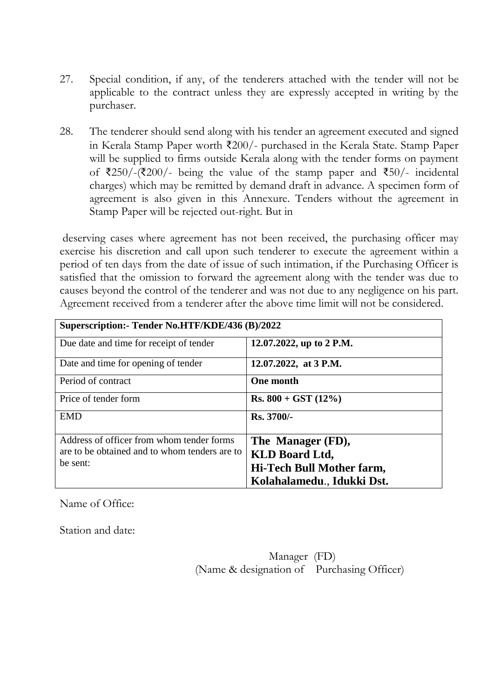- 27. Special condition, if any, of the tenderers attached with the tender will not be applicable to the contract unless they are expressly accepted in writing by the purchaser.
- 28. The tenderer should send along with his tender an agreement executed and signed in Kerala Stamp Paper worth ₹200/- purchased in the Kerala State. Stamp Paper will be supplied to firms outside Kerala along with the tender forms on payment of ₹250/-(₹200/- being the value of the stamp paper and ₹50/- incidental charges) which may be remitted by demand draft in advance. A specimen form of agreement is also given in this Annexure. Tenders without the agreement in Stamp Paper will be rejected out-right. But in

deserving cases where agreement has not been received, the purchasing officer may exercise his discretion and call upon such tenderer to execute the agreement within a period of ten days from the date of issue of such intimation, if the Purchasing Officer is satisfied that the omission to forward the agreement along with the tender was due to causes beyond the control of the tenderer and was not due to any negligence on his part. Agreement received from a tenderer after the above time limit will not be considered.

| Superscription: - Tender No.HTF/KDE/436 (B)/2022 |                            |  |  |  |  |  |
|--------------------------------------------------|----------------------------|--|--|--|--|--|
| Due date and time for receipt of tender          | 12.07.2022, up to 2 P.M.   |  |  |  |  |  |
| Date and time for opening of tender              | 12.07.2022, at 3 P.M.      |  |  |  |  |  |
| Period of contract                               | <b>One month</b>           |  |  |  |  |  |
| Price of tender form                             | $Rs. 800 + GST (12%)$      |  |  |  |  |  |
| <b>EMD</b>                                       | $Rs.3700/-$                |  |  |  |  |  |
| Address of officer from whom tender forms        | The Manager (FD),          |  |  |  |  |  |
| are to be obtained and to whom tenders are to    | <b>KLD Board Ltd,</b>      |  |  |  |  |  |
| be sent:                                         | Hi-Tech Bull Mother farm,  |  |  |  |  |  |
|                                                  | Kolahalamedu., Idukki Dst. |  |  |  |  |  |

Name of Office:

Station and date:

Manager (FD) (Name & designation of Purchasing Officer)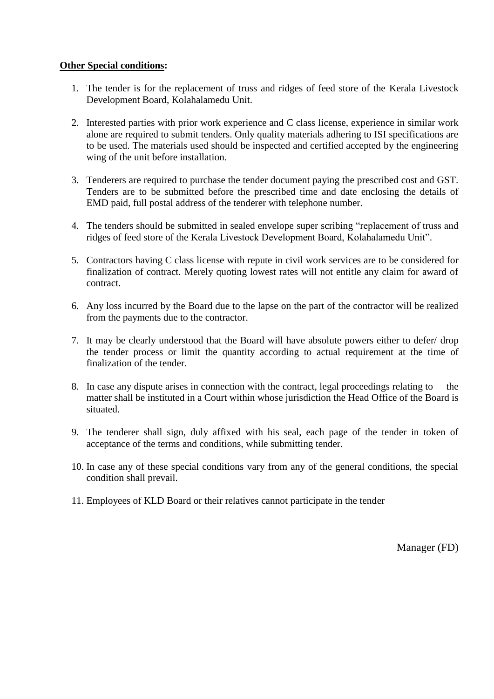#### **Other Special conditions:**

- 1. The tender is for the replacement of truss and ridges of feed store of the Kerala Livestock Development Board, Kolahalamedu Unit.
- 2. Interested parties with prior work experience and C class license, experience in similar work alone are required to submit tenders. Only quality materials adhering to ISI specifications are to be used. The materials used should be inspected and certified accepted by the engineering wing of the unit before installation.
- 3. Tenderers are required to purchase the tender document paying the prescribed cost and GST. Tenders are to be submitted before the prescribed time and date enclosing the details of EMD paid, full postal address of the tenderer with telephone number.
- 4. The tenders should be submitted in sealed envelope super scribing "replacement of truss and ridges of feed store of the Kerala Livestock Development Board, Kolahalamedu Unit".
- 5. Contractors having C class license with repute in civil work services are to be considered for finalization of contract. Merely quoting lowest rates will not entitle any claim for award of contract.
- 6. Any loss incurred by the Board due to the lapse on the part of the contractor will be realized from the payments due to the contractor.
- 7. It may be clearly understood that the Board will have absolute powers either to defer/ drop the tender process or limit the quantity according to actual requirement at the time of finalization of the tender.
- 8. In case any dispute arises in connection with the contract, legal proceedings relating to the matter shall be instituted in a Court within whose jurisdiction the Head Office of the Board is situated.
- 9. The tenderer shall sign, duly affixed with his seal, each page of the tender in token of acceptance of the terms and conditions, while submitting tender.
- 10. In case any of these special conditions vary from any of the general conditions, the special condition shall prevail.
- 11. Employees of KLD Board or their relatives cannot participate in the tender

Manager (FD)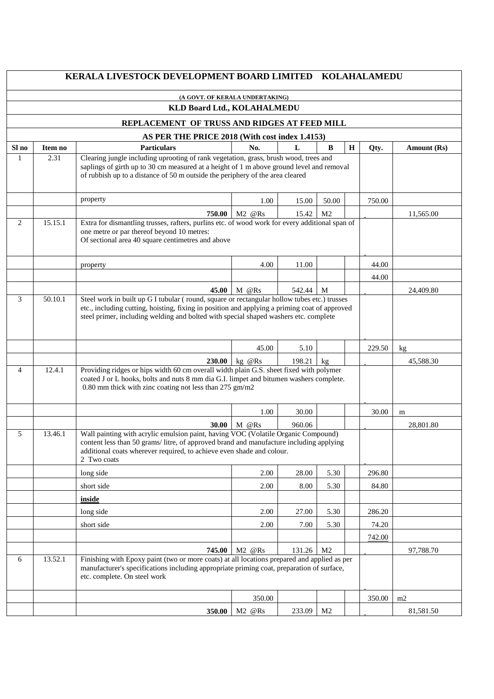|                                                                                                                                                                                                                                          |                                                                                                                                                                                                                                                                                                      | KERALA LIVESTOCK DEVELOPMENT BOARD LIMITED                                                                                                                                                                                                                          |                                |        |                |   | <b>KOLAHALAMEDU</b> |             |  |
|------------------------------------------------------------------------------------------------------------------------------------------------------------------------------------------------------------------------------------------|------------------------------------------------------------------------------------------------------------------------------------------------------------------------------------------------------------------------------------------------------------------------------------------------------|---------------------------------------------------------------------------------------------------------------------------------------------------------------------------------------------------------------------------------------------------------------------|--------------------------------|--------|----------------|---|---------------------|-------------|--|
|                                                                                                                                                                                                                                          |                                                                                                                                                                                                                                                                                                      | (A GOVT. OF KERALA UNDERTAKING)                                                                                                                                                                                                                                     |                                |        |                |   |                     |             |  |
|                                                                                                                                                                                                                                          |                                                                                                                                                                                                                                                                                                      | KLD Board Ltd., KOLAHALMEDU                                                                                                                                                                                                                                         |                                |        |                |   |                     |             |  |
|                                                                                                                                                                                                                                          |                                                                                                                                                                                                                                                                                                      | REPLACEMENT OF TRUSS AND RIDGES AT FEED MILL                                                                                                                                                                                                                        |                                |        |                |   |                     |             |  |
|                                                                                                                                                                                                                                          | AS PER THE PRICE 2018 (With cost index 1.4153)                                                                                                                                                                                                                                                       |                                                                                                                                                                                                                                                                     |                                |        |                |   |                     |             |  |
| Sl no                                                                                                                                                                                                                                    | Item no                                                                                                                                                                                                                                                                                              | <b>Particulars</b>                                                                                                                                                                                                                                                  | No.                            | L      | $\bf{B}$       | H | Qty.                | Amount (Rs) |  |
| 1                                                                                                                                                                                                                                        | 2.31<br>Clearing jungle including uprooting of rank vegetation, grass, brush wood, trees and<br>saplings of girth up to 30 cm measured at a height of 1 m above ground level and removal<br>of rubbish up to a distance of 50 m outside the periphery of the area cleared                            |                                                                                                                                                                                                                                                                     |                                |        |                |   |                     |             |  |
|                                                                                                                                                                                                                                          |                                                                                                                                                                                                                                                                                                      | property                                                                                                                                                                                                                                                            | 1.00                           | 15.00  | 50.00          |   | 750.00              |             |  |
|                                                                                                                                                                                                                                          |                                                                                                                                                                                                                                                                                                      | 750.00                                                                                                                                                                                                                                                              | $M2$ @Rs                       | 15.42  | M <sub>2</sub> |   |                     | 11,565.00   |  |
| 2                                                                                                                                                                                                                                        | 15.15.1<br>Extra for dismantling trusses, rafters, purlins etc. of wood work for every additional span of<br>one metre or par thereof beyond 10 metres:<br>Of sectional area 40 square centimetres and above                                                                                         |                                                                                                                                                                                                                                                                     |                                |        |                |   |                     |             |  |
|                                                                                                                                                                                                                                          |                                                                                                                                                                                                                                                                                                      | property                                                                                                                                                                                                                                                            | 4.00                           | 11.00  |                |   | 44.00               |             |  |
|                                                                                                                                                                                                                                          |                                                                                                                                                                                                                                                                                                      |                                                                                                                                                                                                                                                                     |                                |        |                |   | 44.00               |             |  |
|                                                                                                                                                                                                                                          |                                                                                                                                                                                                                                                                                                      | 45.00                                                                                                                                                                                                                                                               | M @Rs                          | 542.44 | M              |   |                     | 24,409.80   |  |
|                                                                                                                                                                                                                                          | 3<br>Steel work in built up G I tubular (round, square or rectangular hollow tubes etc.) trusses<br>50.10.1<br>etc., including cutting, hoisting, fixing in position and applying a priming coat of approved<br>steel primer, including welding and bolted with special shaped washers etc. complete |                                                                                                                                                                                                                                                                     |                                |        |                |   |                     |             |  |
|                                                                                                                                                                                                                                          |                                                                                                                                                                                                                                                                                                      |                                                                                                                                                                                                                                                                     | 45.00                          | 5.10   |                |   | 229.50              | kg          |  |
|                                                                                                                                                                                                                                          |                                                                                                                                                                                                                                                                                                      | <b>230.00</b>                                                                                                                                                                                                                                                       | $kg \oslash Rs$                | 198.21 | $k$ g          |   |                     | 45,588.30   |  |
|                                                                                                                                                                                                                                          | Providing ridges or hips width 60 cm overall width plain G.S. sheet fixed with polymer<br>12.4.1<br>$\overline{4}$<br>coated J or L hooks, bolts and nuts 8 mm dia G.I. limpet and bitumen washers complete.<br>0.80 mm thick with zinc coating not less than 275 gm/m2                              |                                                                                                                                                                                                                                                                     |                                |        |                |   |                     |             |  |
|                                                                                                                                                                                                                                          |                                                                                                                                                                                                                                                                                                      |                                                                                                                                                                                                                                                                     | 1.00                           | 30.00  |                |   | 30.00               | m           |  |
|                                                                                                                                                                                                                                          |                                                                                                                                                                                                                                                                                                      | 30.00                                                                                                                                                                                                                                                               | M @Rs                          | 960.06 |                |   |                     | 28,801.80   |  |
| 5                                                                                                                                                                                                                                        | 13.46.1                                                                                                                                                                                                                                                                                              | Wall painting with acrylic emulsion paint, having VOC (Volatile Organic Compound)<br>content less than 50 grams/litre, of approved brand and manufacture including applying<br>additional coats wherever required, to achieve even shade and colour.<br>2 Two coats |                                |        |                |   |                     |             |  |
|                                                                                                                                                                                                                                          |                                                                                                                                                                                                                                                                                                      | long side                                                                                                                                                                                                                                                           | 2.00                           | 28.00  | 5.30           |   | 296.80              |             |  |
|                                                                                                                                                                                                                                          |                                                                                                                                                                                                                                                                                                      | short side                                                                                                                                                                                                                                                          | 2.00                           | 8.00   | 5.30           |   | 84.80               |             |  |
|                                                                                                                                                                                                                                          |                                                                                                                                                                                                                                                                                                      | inside                                                                                                                                                                                                                                                              |                                |        |                |   |                     |             |  |
|                                                                                                                                                                                                                                          |                                                                                                                                                                                                                                                                                                      | long side                                                                                                                                                                                                                                                           | 2.00                           | 27.00  | 5.30           |   | 286.20              |             |  |
|                                                                                                                                                                                                                                          |                                                                                                                                                                                                                                                                                                      | short side                                                                                                                                                                                                                                                          | 2.00                           | 7.00   | 5.30           |   | 74.20               |             |  |
|                                                                                                                                                                                                                                          |                                                                                                                                                                                                                                                                                                      |                                                                                                                                                                                                                                                                     |                                |        |                |   | 742.00              |             |  |
|                                                                                                                                                                                                                                          |                                                                                                                                                                                                                                                                                                      | 745.00                                                                                                                                                                                                                                                              | $M2$ @Rs                       | 131.26 | M <sub>2</sub> |   |                     | 97,788.70   |  |
| 13.52.1<br>Finishing with Epoxy paint (two or more coats) at all locations prepared and applied as per<br>6<br>manufacturer's specifications including appropriate priming coat, preparation of surface,<br>etc. complete. On steel work |                                                                                                                                                                                                                                                                                                      |                                                                                                                                                                                                                                                                     |                                |        |                |   |                     |             |  |
|                                                                                                                                                                                                                                          |                                                                                                                                                                                                                                                                                                      |                                                                                                                                                                                                                                                                     | 350.00                         |        |                |   | 350.00              | m2          |  |
|                                                                                                                                                                                                                                          |                                                                                                                                                                                                                                                                                                      | 350.00                                                                                                                                                                                                                                                              | M <sub>2</sub> @R <sub>s</sub> | 233.09 | M <sub>2</sub> |   |                     | 81,581.50   |  |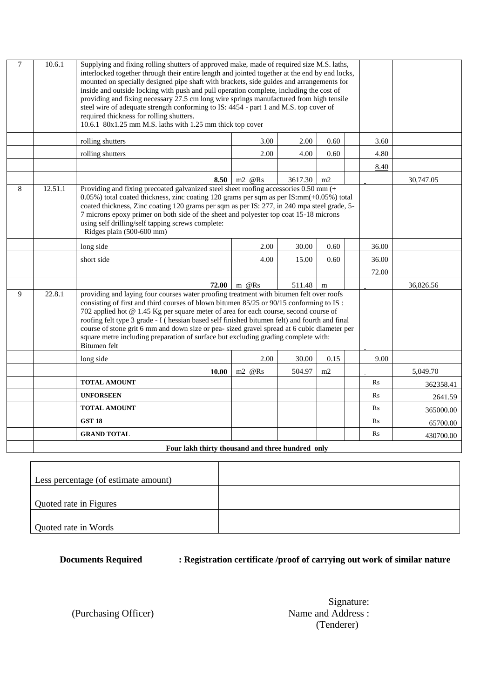| $\overline{7}$ | 10.6.1                                           | Supplying and fixing rolling shutters of approved make, made of required size M.S. laths,<br>interlocked together through their entire length and jointed together at the end by end locks,<br>mounted on specially designed pipe shaft with brackets, side guides and arrangements for<br>inside and outside locking with push and pull operation complete, including the cost of<br>providing and fixing necessary 27.5 cm long wire springs manufactured from high tensile<br>steel wire of adequate strength conforming to IS: 4454 - part 1 and M.S. top cover of<br>required thickness for rolling shutters.<br>10.6.1 80x1.25 mm M.S. laths with 1.25 mm thick top cover |                              |         |      |                |       |           |
|----------------|--------------------------------------------------|---------------------------------------------------------------------------------------------------------------------------------------------------------------------------------------------------------------------------------------------------------------------------------------------------------------------------------------------------------------------------------------------------------------------------------------------------------------------------------------------------------------------------------------------------------------------------------------------------------------------------------------------------------------------------------|------------------------------|---------|------|----------------|-------|-----------|
|                |                                                  | rolling shutters                                                                                                                                                                                                                                                                                                                                                                                                                                                                                                                                                                                                                                                                | 3.00                         | 2.00    | 0.60 |                | 3.60  |           |
|                |                                                  | rolling shutters                                                                                                                                                                                                                                                                                                                                                                                                                                                                                                                                                                                                                                                                | 2.00                         | 4.00    | 0.60 |                | 4.80  |           |
|                |                                                  |                                                                                                                                                                                                                                                                                                                                                                                                                                                                                                                                                                                                                                                                                 |                              |         |      |                | 8.40  |           |
|                |                                                  | 8.50                                                                                                                                                                                                                                                                                                                                                                                                                                                                                                                                                                                                                                                                            | $m2 \quad \textcircled{eRs}$ | 3617.30 | m2   |                |       | 30,747.05 |
| 8              | 12.51.1                                          | Providing and fixing precoated galvanized steel sheet roofing accessories 0.50 mm (+<br>$0.05\%$ ) total coated thickness, zinc coating 120 grams per sqm as per IS: $mm(+0.05\%)$ total<br>coated thickness, Zinc coating 120 grams per sqm as per IS: 277, in 240 mpa steel grade, 5-<br>7 microns epoxy primer on both side of the sheet and polyester top coat 15-18 microns<br>using self drilling/self tapping screws complete:<br>Ridges plain (500-600 mm)                                                                                                                                                                                                              |                              |         |      |                |       |           |
|                |                                                  | long side                                                                                                                                                                                                                                                                                                                                                                                                                                                                                                                                                                                                                                                                       | 2.00                         | 30.00   | 0.60 |                | 36.00 |           |
|                |                                                  | short side                                                                                                                                                                                                                                                                                                                                                                                                                                                                                                                                                                                                                                                                      | 4.00                         | 15.00   | 0.60 |                | 36.00 |           |
|                |                                                  |                                                                                                                                                                                                                                                                                                                                                                                                                                                                                                                                                                                                                                                                                 |                              |         |      |                | 72.00 |           |
|                |                                                  | 72.00                                                                                                                                                                                                                                                                                                                                                                                                                                                                                                                                                                                                                                                                           | m @Rs                        | 511.48  | m    |                |       | 36,826.56 |
| 9              | 22.8.1                                           | providing and laying four courses water proofing treatment with bitumen felt over roofs<br>consisting of first and third courses of blown bitumen 85/25 or 90/15 conforming to IS :<br>702 applied hot @ 1.45 Kg per square meter of area for each course, second course of<br>roofing felt type 3 grade - I (hessian based self finished bitumen felt) and fourth and final<br>course of stone grit 6 mm and down size or pea- sized gravel spread at 6 cubic diameter per<br>square metre including preparation of surface but excluding grading complete with:<br>Bitumen felt                                                                                               |                              |         |      |                |       |           |
|                |                                                  | long side                                                                                                                                                                                                                                                                                                                                                                                                                                                                                                                                                                                                                                                                       | 2.00                         | 30.00   | 0.15 |                | 9.00  |           |
|                |                                                  | 10.00                                                                                                                                                                                                                                                                                                                                                                                                                                                                                                                                                                                                                                                                           | m2 @Rs                       | 504.97  | m2   |                |       | 5.049.70  |
|                |                                                  | <b>TOTAL AMOUNT</b>                                                                                                                                                                                                                                                                                                                                                                                                                                                                                                                                                                                                                                                             |                              |         |      | Rs             |       | 362358.41 |
|                |                                                  | <b>UNFORSEEN</b>                                                                                                                                                                                                                                                                                                                                                                                                                                                                                                                                                                                                                                                                |                              |         |      | R <sub>S</sub> |       | 2641.59   |
|                |                                                  | <b>TOTAL AMOUNT</b>                                                                                                                                                                                                                                                                                                                                                                                                                                                                                                                                                                                                                                                             |                              |         |      | R <sub>S</sub> |       | 365000.00 |
|                |                                                  | <b>GST 18</b>                                                                                                                                                                                                                                                                                                                                                                                                                                                                                                                                                                                                                                                                   |                              |         |      | Rs             |       | 65700.00  |
|                |                                                  | <b>GRAND TOTAL</b>                                                                                                                                                                                                                                                                                                                                                                                                                                                                                                                                                                                                                                                              |                              |         |      | Rs             |       | 430700.00 |
|                | Four lakh thirty thousand and three hundred only |                                                                                                                                                                                                                                                                                                                                                                                                                                                                                                                                                                                                                                                                                 |                              |         |      |                |       |           |

| Less percentage (of estimate amount) |  |
|--------------------------------------|--|
|                                      |  |
|                                      |  |
| Quoted rate in Figures               |  |
|                                      |  |
| Quoted rate in Words                 |  |

### **Documents Required : Registration certificate /proof of carrying out work of similar nature**

Signature:<br>Name and Address : (Tenderer)

(Purchasing Officer)